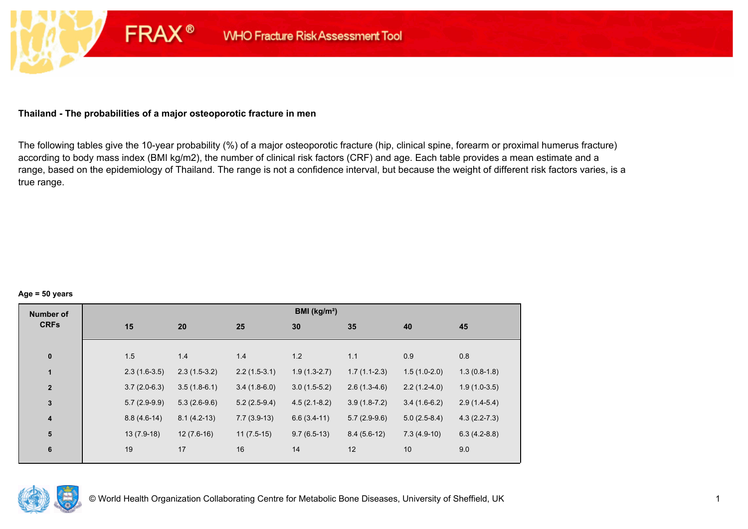## **Thailand - The probabilities of a major osteoporotic fracture in men**

**FRAX®** 

The following tables give the 10-year probability (%) of a major osteoporotic fracture (hip, clinical spine, forearm or proximal humerus fracture) according to body mass index (BMI kg/m2), the number of clinical risk factors (CRF) and age. Each table provides a mean estimate and a range, based on the epidemiology of Thailand. The range is not a confidence interval, but because the weight of different risk factors varies, is a true range.

#### **Age = 50 years**

| <b>Number of</b>        |                |                |                | BMI (kg/m <sup>2</sup> ) |                |                |                  |
|-------------------------|----------------|----------------|----------------|--------------------------|----------------|----------------|------------------|
| <b>CRFs</b>             | 15             | 20             | 25             | 30                       | 35             | 40             | 45               |
|                         |                |                |                |                          |                |                |                  |
| $\pmb{0}$               | 1.5            | 1.4            | 1.4            | 1.2                      | 1.1            | 0.9            | 0.8              |
| $\mathbf{1}$            | $2.3(1.6-3.5)$ | $2.3(1.5-3.2)$ | $2.2(1.5-3.1)$ | $1.9(1.3-2.7)$           | $1.7(1.1-2.3)$ | $1.5(1.0-2.0)$ | $1.3(0.8-1.8)$   |
| $\mathbf{2}$            | $3.7(2.0-6.3)$ | $3.5(1.8-6.1)$ | $3.4(1.8-6.0)$ | $3.0(1.5-5.2)$           | $2.6(1.3-4.6)$ | $2.2(1.2-4.0)$ | $1.9(1.0-3.5)$   |
| $\mathbf 3$             | $5.7(2.9-9.9)$ | $5.3(2.6-9.6)$ | $5.2(2.5-9.4)$ | $4.5(2.1-8.2)$           | $3.9(1.8-7.2)$ | $3.4(1.6-6.2)$ | $2.9(1.4-5.4)$   |
| $\overline{\mathbf{4}}$ | $8.8(4.6-14)$  | $8.1(4.2-13)$  | $7.7(3.9-13)$  | $6.6(3.4-11)$            | $5.7(2.9-9.6)$ | $5.0(2.5-8.4)$ | $4.3(2.2 - 7.3)$ |
| 5                       | $13(7.9-18)$   | $12(7.6-16)$   | $11(7.5-15)$   | $9.7(6.5-13)$            | $8.4(5.6-12)$  | $7.3(4.9-10)$  | $6.3(4.2-8.8)$   |
| 6                       | 19             | 17             | 16             | 14                       | 12             | 10             | 9.0              |
|                         |                |                |                |                          |                |                |                  |

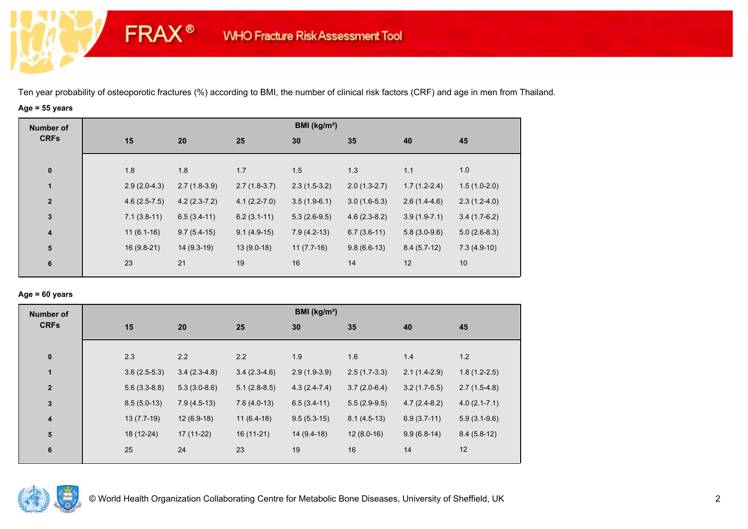# **Age = 55 years**

**FRAX®** 

| <b>Number of</b> |                |                |                  | BMI ( $kg/m2$ ) |                |                |                |
|------------------|----------------|----------------|------------------|-----------------|----------------|----------------|----------------|
| <b>CRFs</b>      | 15             | 20             | 25               | 30              | 35             | 40             | 45             |
|                  |                |                |                  |                 |                |                |                |
| $\bf{0}$         | 1.8            | 1.8            | 1.7              | 1.5             | 1.3            | 1.1            | 1.0            |
| $\mathbf{1}$     | $2.9(2.0-4.3)$ | $2.7(1.8-3.9)$ | $2.7(1.8-3.7)$   | $2.3(1.5-3.2)$  | $2.0(1.3-2.7)$ | $1.7(1.2-2.4)$ | $1.5(1.0-2.0)$ |
| $\overline{2}$   | $4.6(2.5-7.5)$ | $4.2(2.3-7.2)$ | $4.1(2.2 - 7.0)$ | $3.5(1.9-6.1)$  | $3.0(1.6-5.3)$ | $2.6(1.4-4.6)$ | $2.3(1.2-4.0)$ |
| $\mathbf 3$      | $7.1(3.8-11)$  | $6.5(3.4-11)$  | $6.2(3.1-11)$    | $5.3(2.6-9.5)$  | $4.6(2.3-8.2)$ | $3.9(1.9-7.1)$ | $3.4(1.7-6.2)$ |
| $\boldsymbol{4}$ | $11(6.1-16)$   | $9.7(5.4-15)$  | $9.1(4.9-15)$    | $7.9(4.2-13)$   | $6.7(3.6-11)$  | $5.8(3.0-9.6)$ | $5.0(2.6-8.3)$ |
| ${\bf 5}$        | $16(9.8-21)$   | $14(9.3-19)$   | $13(9.0-18)$     | $11(7.7-16)$    | $9.8(6.6-13)$  | $8.4(5.7-12)$  | $7.3(4.9-10)$  |
| 6                | 23             | 21             | 19               | 16              | 14             | 12             | 10             |

## **Age = 60 years**

| <b>Number of</b>        |                |                |                | BMI ( $kg/m2$ ) |                |                |                  |
|-------------------------|----------------|----------------|----------------|-----------------|----------------|----------------|------------------|
| <b>CRFs</b>             | 15             | 20             | 25             | 30              | 35             | 40             | 45               |
|                         |                |                |                |                 |                |                |                  |
| $\bf{0}$                | 2.3            | 2.2            | 2.2            | 1.9             | 1.6            | 1.4            | 1.2              |
| $\mathbf{1}$            | $3.6(2.5-5.3)$ | $3.4(2.3-4.8)$ | $3.4(2.3-4.6)$ | $2.9(1.9-3.9)$  | $2.5(1.7-3.3)$ | $2.1(1.4-2.9)$ | $1.8(1.2-2.5)$   |
| $\overline{2}$          | $5.6(3.3-8.8)$ | $5.3(3.0-8.6)$ | $5.1(2.8-8.5)$ | $4.3(2.4-7.4)$  | $3.7(2.0-6.4)$ | $3.2(1.7-5.5)$ | $2.7(1.5-4.8)$   |
| $\mathbf{3}$            | $8.5(5.0-13)$  | $7.9(4.5-13)$  | $7.6(4.0-13)$  | $6.5(3.4-11)$   | $5.5(2.9-9.5)$ | $4.7(2.4-8.2)$ | $4.0(2.1 - 7.1)$ |
| $\overline{\mathbf{4}}$ | $13(7.7-19)$   | $12(6.9-18)$   | $11(6.4-18)$   | $9.5(5.3-15)$   | $8.1(4.5-13)$  | $6.9(3.7-11)$  | $5.9(3.1-9.6)$   |
| 5                       | 18 (12-24)     | $17(11-22)$    | $16(11-21)$    | $14(9.4-18)$    | $12(8.0-16)$   | $9.9(6.8-14)$  | $8.4(5.8-12)$    |
| 6                       | 25             | 24             | 23             | 19              | 16             | 14             | 12               |
|                         |                |                |                |                 |                |                |                  |

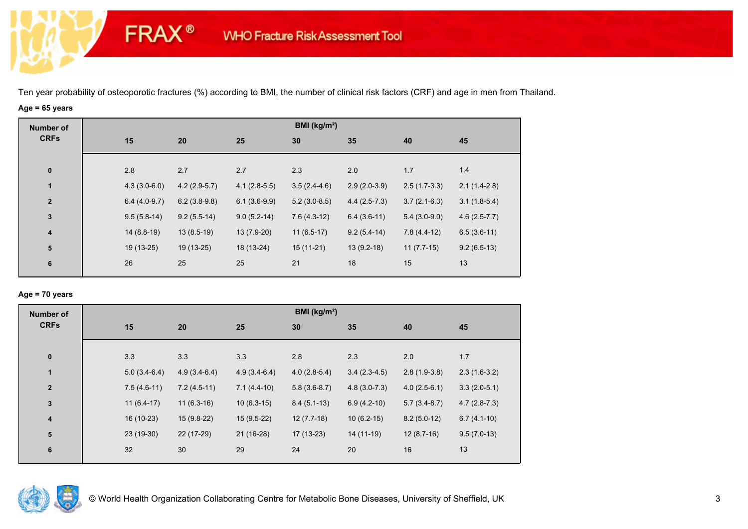# **Age = 65 years**

**FRAX®** 

| <b>Number of</b> |     |                |                |                | BMI ( $kg/m2$ ) |                |                |                |
|------------------|-----|----------------|----------------|----------------|-----------------|----------------|----------------|----------------|
| <b>CRFs</b>      | 15  |                | 20             | 25             | 30              | 35             | 40             | 45             |
|                  |     |                |                |                |                 |                |                |                |
| $\mathbf 0$      | 2.8 |                | 2.7            | 2.7            | 2.3             | 2.0            | 1.7            | 1.4            |
| $\mathbf{1}$     |     | $4.3(3.0-6.0)$ | $4.2(2.9-5.7)$ | $4.1(2.8-5.5)$ | $3.5(2.4-4.6)$  | $2.9(2.0-3.9)$ | $2.5(1.7-3.3)$ | $2.1(1.4-2.8)$ |
| $\overline{2}$   |     | $6.4(4.0-9.7)$ | $6.2(3.8-9.8)$ | $6.1(3.6-9.9)$ | $5.2(3.0-8.5)$  | $4.4(2.5-7.3)$ | $3.7(2.1-6.3)$ | $3.1(1.8-5.4)$ |
| $\mathbf 3$      |     | $9.5(5.8-14)$  | $9.2(5.5-14)$  | $9.0(5.2-14)$  | $7.6(4.3-12)$   | $6.4(3.6-11)$  | $5.4(3.0-9.0)$ | $4.6(2.5-7.7)$ |
| $\boldsymbol{4}$ |     | $14(8.8-19)$   | $13(8.5-19)$   | 13 (7.9-20)    | $11(6.5-17)$    | $9.2(5.4-14)$  | $7.8(4.4-12)$  | $6.5(3.6-11)$  |
| ${\bf 5}$        |     | 19 (13-25)     | 19 (13-25)     | 18 (13-24)     | $15(11-21)$     | $13(9.2-18)$   | $11(7.7-15)$   | $9.2(6.5-13)$  |
| 6                | 26  |                | 25             | 25             | 21              | 18             | 15             | 13             |

## **Age = 70 years**

| <b>Number of</b>        |                |                |                | BMI (kg/m <sup>2</sup> ) |                |                |                |
|-------------------------|----------------|----------------|----------------|--------------------------|----------------|----------------|----------------|
| <b>CRFs</b>             | 15             | 20             | 25             | 30                       | 35             | 40             | 45             |
| $\pmb{0}$               | 3.3            | 3.3            | 3.3            | 2.8                      | 2.3            | 2.0            | 1.7            |
| $\mathbf{1}$            | $5.0(3.4-6.4)$ | $4.9(3.4-6.4)$ | $4.9(3.4-6.4)$ | $4.0(2.8-5.4)$           | $3.4(2.3-4.5)$ | $2.8(1.9-3.8)$ | $2.3(1.6-3.2)$ |
| $\overline{\mathbf{2}}$ | $7.5(4.6-11)$  | $7.2(4.5-11)$  | $7.1(4.4-10)$  | $5.8(3.6-8.7)$           | $4.8(3.0-7.3)$ | $4.0(2.5-6.1)$ | $3.3(2.0-5.1)$ |
| $\mathbf 3$             | $11(6.4-17)$   | $11(6.3-16)$   | $10(6.3-15)$   | $8.4(5.1-13)$            | $6.9(4.2-10)$  | $5.7(3.4-8.7)$ | $4.7(2.8-7.3)$ |
| $\overline{\mathbf{4}}$ | 16 (10-23)     | $15(9.8-22)$   | $15(9.5-22)$   | $12(7.7-18)$             | $10(6.2-15)$   | $8.2(5.0-12)$  | $6.7(4.1-10)$  |
| ${\bf 5}$               | 23 (19-30)     | 22 (17-29)     | $21(16-28)$    | $17(13-23)$              | 14 (11-19)     | $12(8.7-16)$   | $9.5(7.0-13)$  |
| 6                       | 32             | 30             | 29             | 24                       | 20             | 16             | 13             |

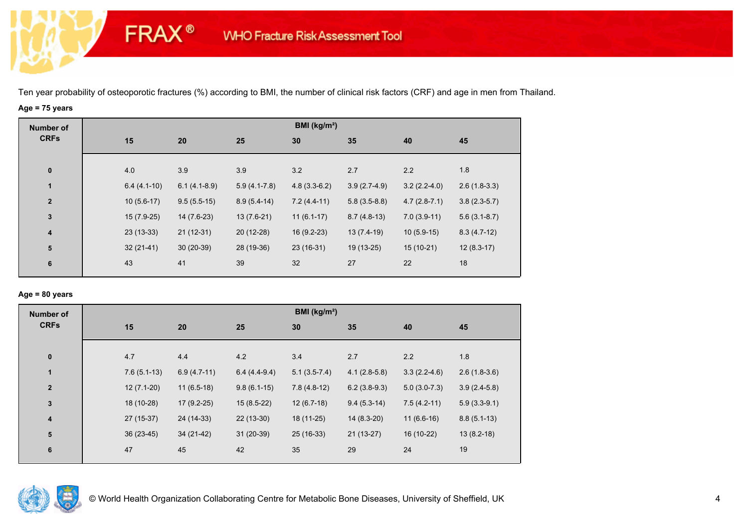# **Age = 75 years**

**FRAX®** 

| <b>Number of</b>        |               |                |                | BMI (kg/m <sup>2</sup> ) |                |                |                |
|-------------------------|---------------|----------------|----------------|--------------------------|----------------|----------------|----------------|
| <b>CRFs</b>             | 15            | 20             | 25             | 30                       | 35             | 40             | 45             |
|                         |               |                |                |                          |                |                |                |
| $\bf{0}$                | 4.0           | 3.9            | 3.9            | 3.2                      | 2.7            | 2.2            | 1.8            |
| $\mathbf{1}$            | $6.4(4.1-10)$ | $6.1(4.1-8.9)$ | $5.9(4.1-7.8)$ | $4.8(3.3-6.2)$           | $3.9(2.7-4.9)$ | $3.2(2.2-4.0)$ | $2.6(1.8-3.3)$ |
| $\overline{2}$          | $10(5.6-17)$  | $9.5(5.5-15)$  | $8.9(5.4-14)$  | $7.2(4.4-11)$            | $5.8(3.5-8.8)$ | $4.7(2.8-7.1)$ | $3.8(2.3-5.7)$ |
| $\mathbf{3}$            | $15(7.9-25)$  | $14(7.6-23)$   | $13(7.6-21)$   | $11(6.1-17)$             | $8.7(4.8-13)$  | $7.0(3.9-11)$  | $5.6(3.1-8.7)$ |
| $\overline{\mathbf{4}}$ | $23(13-33)$   | $21(12-31)$    | $20(12-28)$    | $16(9.2-23)$             | $13(7.4-19)$   | $10(5.9-15)$   | $8.3(4.7-12)$  |
| ${\bf 5}$               | $32(21-41)$   | $30(20-39)$    | 28 (19-36)     | $23(16-31)$              | 19 (13-25)     | $15(10-21)$    | $12(8.3-17)$   |
| 6                       | 43            | 41             | 39             | 32                       | 27             | 22             | 18             |
|                         |               |                |                |                          |                |                |                |

## **Age = 80 years**

| <b>Number of</b>        |               |               |                | BMI ( $kg/m2$ ) |                |                |                |
|-------------------------|---------------|---------------|----------------|-----------------|----------------|----------------|----------------|
| <b>CRFs</b>             | 15            | 20            | 25             | 30              | 35             | 40             | 45             |
| $\bf{0}$                | 4.7           | 4.4           | 4.2            | 3.4             | 2.7            | 2.2            | 1.8            |
| $\mathbf{1}$            | $7.6(5.1-13)$ | $6.9(4.7-11)$ | $6.4(4.4-9.4)$ | $5.1(3.5-7.4)$  | $4.1(2.8-5.8)$ | $3.3(2.2-4.6)$ | $2.6(1.8-3.6)$ |
| $\overline{2}$          | $12(7.1-20)$  | $11(6.5-18)$  | $9.8(6.1-15)$  | $7.8(4.8-12)$   | $6.2(3.8-9.3)$ | $5.0(3.0-7.3)$ | $3.9(2.4-5.8)$ |
| $\mathbf{3}$            | 18 (10-28)    | $17(9.2-25)$  | $15(8.5-22)$   | $12(6.7-18)$    | $9.4(5.3-14)$  | $7.5(4.2-11)$  | $5.9(3.3-9.1)$ |
| $\overline{\mathbf{4}}$ | 27 (15-37)    | 24 (14-33)    | $22(13-30)$    | 18 (11-25)      | $14(8.3-20)$   | $11(6.6-16)$   | $8.8(5.1-13)$  |
| 5                       | $36(23-45)$   | 34 (21-42)    | $31(20-39)$    | $25(16-33)$     | $21(13-27)$    | 16 (10-22)     | $13(8.2-18)$   |
| 6                       | 47            | 45            | 42             | 35              | 29             | 24             | 19             |